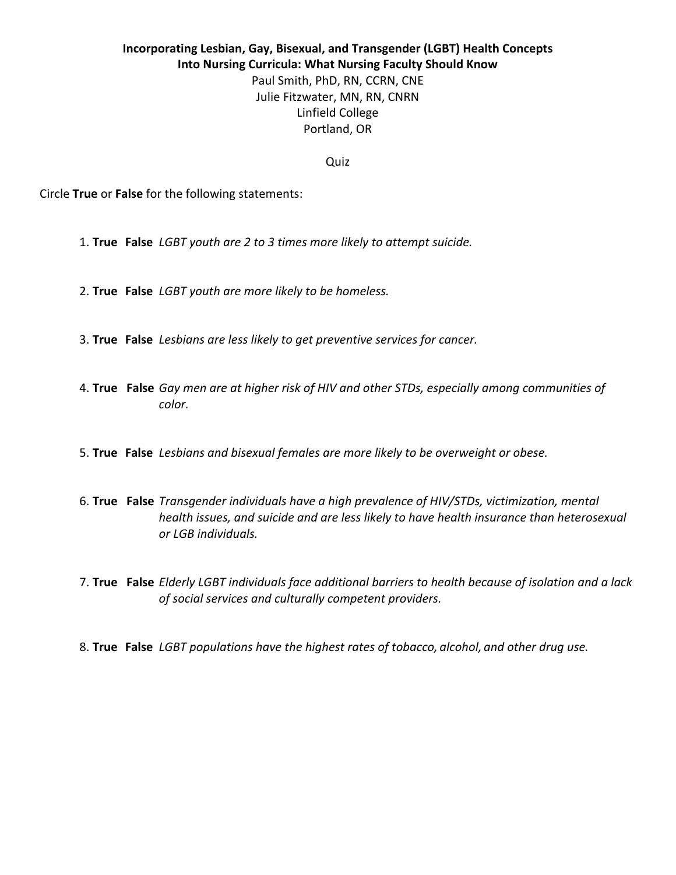## **Incorporating Lesbian, Gay, Bisexual, and Transgender (LGBT) Health Concepts Into Nursing Curricula: What Nursing Faculty Should Know** Paul Smith, PhD, RN, CCRN, CNE Julie Fitzwater, MN, RN, CNRN Linfield College Portland, OR

Quiz

Circle True or False for the following statements:

- 1. **True** False *LGBT* youth are 2 to 3 times more likely to attempt suicide.
- 2. **True** False *LGBT* youth are more likely to be homeless.
- 3. True False Lesbians are less likely to get preventive services for cancer.
- 4. True False Gay men are at higher risk of HIV and other STDs, especially among communities of *color.*
- 5. True False Lesbians and bisexual females are more likely to be overweight or obese.
- 6. True False *Transgender individuals have a high prevalence of HIV/STDs, victimization, mental health issues, and suicide and are less likely to have health insurance than heterosexual or LGB individuals.*
- 7. True False Elderly LGBT individuals face additional barriers to health because of isolation and a lack of social services and culturally competent providers.
- 8. True False *LGBT* populations have the highest rates of tobacco, alcohol, and other drug use.